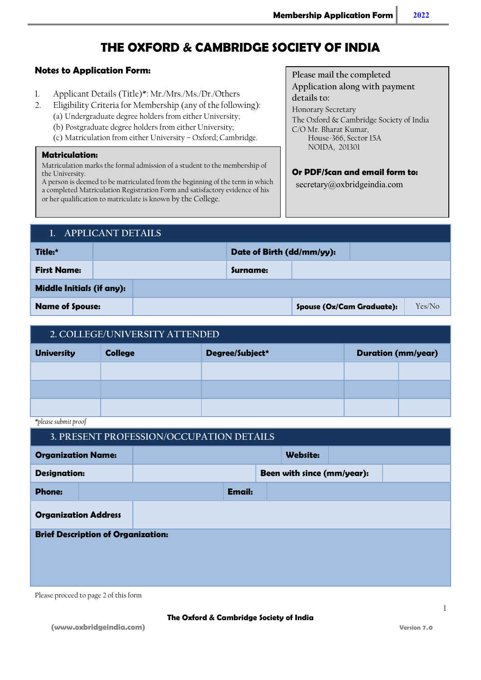# THE OXFORD & CAMBRIDGE SOCIETY OF INDIA

#### Notes to Application Form:

- 1. Applicant Details (Title)\*: Mr./Mrs./Ms./Dr./Others
- 2. Eligibility Criteria for Membership (any of the following):
	- (a) Undergraduate degree holders from either University;
	- (b) Postgraduate degree holders from either University;
	- (c) Matriculation from either University Oxford; Cambridge.

#### Matriculation:

Matriculation marks the formal admission of a student to the membership of the University.

A person is deemed to be matriculated from the beginning of the term in which a completed Matriculation Registration Form and satisfactory evidence of his or her qualification to matriculate is known by the College.

Please mail the completed

Application along with payment details to: Honorary Secretary The Oxford & Cambridge Society of India

C/O Mr. Bharat Kumar, House-366, Sector 15A NOIDA, 201301

#### Or PDF/Scan and email form to:

secretary@oxbridgeindia.com

### 1. APPLICANT DETAILS

| Title:*                          |  |  | Date of Birth (dd/mm/yy): |                                  |  |        |
|----------------------------------|--|--|---------------------------|----------------------------------|--|--------|
| <b>First Name:</b>               |  |  | Surname:                  |                                  |  |        |
| <b>Middle Initials (if any):</b> |  |  |                           |                                  |  |        |
| <b>Name of Spouse:</b>           |  |  |                           | <b>Spouse (Ox/Cam Graduate):</b> |  | Yes/No |

# 2. COLLEGE/UNIVERSITY ATTENDED

| <b>University</b> | <b>College</b> | Degree/Subject* | <b>Duration (mm/year)</b> |  |
|-------------------|----------------|-----------------|---------------------------|--|
|                   |                |                 |                           |  |
|                   |                |                 |                           |  |
|                   |                |                 |                           |  |

\*please submit proof

| <b>Organization Name:</b>                 |  |  |  |  |  |
|-------------------------------------------|--|--|--|--|--|
| <b>Designation:</b>                       |  |  |  |  |  |
|                                           |  |  |  |  |  |
| <b>Organization Address</b>               |  |  |  |  |  |
| <b>Brief Description of Organization:</b> |  |  |  |  |  |
|                                           |  |  |  |  |  |
|                                           |  |  |  |  |  |
| <b>Phone:</b>                             |  |  |  |  |  |

Please proceed to page 2 of this form

1